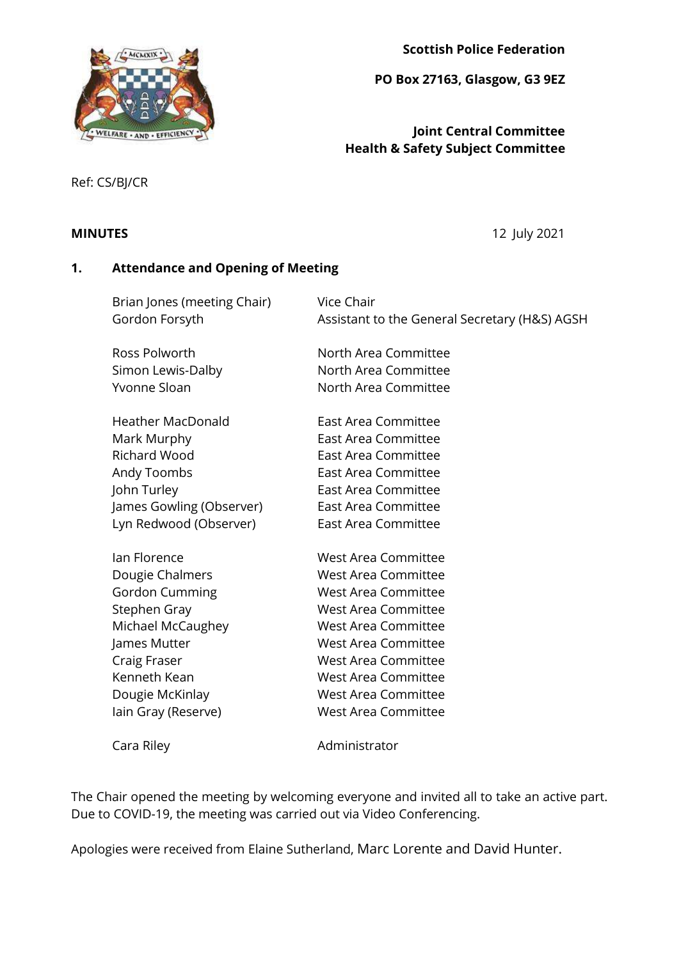

**Scottish Police Federation**

**PO Box 27163, Glasgow, G3 9EZ**

# **Joint Central Committee Health & Safety Subject Committee**

Ref: CS/BJ/CR

**MINUTES** 12 July 2021

# **1. Attendance and Opening of Meeting**

| Brian Jones (meeting Chair)<br>Gordon Forsyth | Vice Chair<br>Assistant to the General Secretary (H&S) AGSH |
|-----------------------------------------------|-------------------------------------------------------------|
| Ross Polworth                                 | North Area Committee                                        |
| Simon Lewis-Dalby                             | North Area Committee                                        |
| Yvonne Sloan                                  | North Area Committee                                        |
|                                               |                                                             |
| <b>Heather MacDonald</b>                      | East Area Committee                                         |
| Mark Murphy                                   | East Area Committee                                         |
| <b>Richard Wood</b>                           | <b>East Area Committee</b>                                  |
| Andy Toombs                                   | <b>East Area Committee</b>                                  |
| John Turley                                   | <b>East Area Committee</b>                                  |
| James Gowling (Observer)                      | East Area Committee                                         |
| Lyn Redwood (Observer)                        | East Area Committee                                         |
| lan Florence                                  | <b>West Area Committee</b>                                  |
| Dougie Chalmers                               | <b>West Area Committee</b>                                  |
| <b>Gordon Cumming</b>                         | <b>West Area Committee</b>                                  |
| Stephen Gray                                  | <b>West Area Committee</b>                                  |
| Michael McCaughey                             | <b>West Area Committee</b>                                  |
| James Mutter                                  | <b>West Area Committee</b>                                  |
| Craig Fraser                                  | West Area Committee                                         |
| Kenneth Kean                                  | <b>West Area Committee</b>                                  |
| Dougie McKinlay                               | <b>West Area Committee</b>                                  |
| lain Gray (Reserve)                           | <b>West Area Committee</b>                                  |
| Cara Riley                                    | Administrator                                               |

The Chair opened the meeting by welcoming everyone and invited all to take an active part. Due to COVID-19, the meeting was carried out via Video Conferencing.

Apologies were received from Elaine Sutherland, Marc Lorente and David Hunter.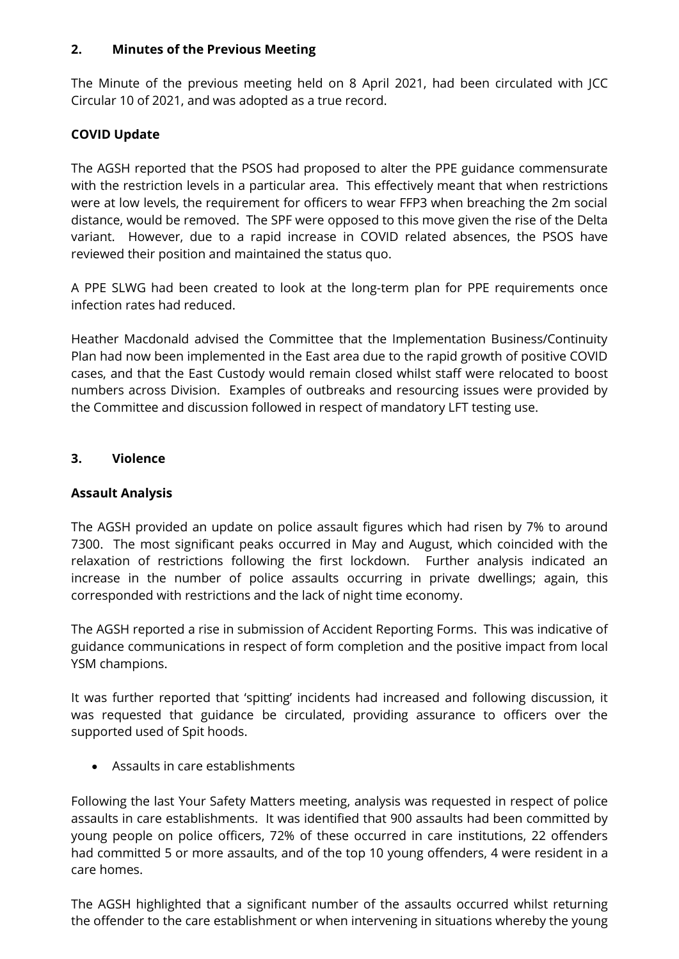#### **2. Minutes of the Previous Meeting**

The Minute of the previous meeting held on 8 April 2021, had been circulated with JCC Circular 10 of 2021, and was adopted as a true record.

# **COVID Update**

The AGSH reported that the PSOS had proposed to alter the PPE guidance commensurate with the restriction levels in a particular area. This effectively meant that when restrictions were at low levels, the requirement for officers to wear FFP3 when breaching the 2m social distance, would be removed. The SPF were opposed to this move given the rise of the Delta variant. However, due to a rapid increase in COVID related absences, the PSOS have reviewed their position and maintained the status quo.

A PPE SLWG had been created to look at the long-term plan for PPE requirements once infection rates had reduced.

Heather Macdonald advised the Committee that the Implementation Business/Continuity Plan had now been implemented in the East area due to the rapid growth of positive COVID cases, and that the East Custody would remain closed whilst staff were relocated to boost numbers across Division. Examples of outbreaks and resourcing issues were provided by the Committee and discussion followed in respect of mandatory LFT testing use.

## **3. Violence**

## **Assault Analysis**

The AGSH provided an update on police assault figures which had risen by 7% to around 7300. The most significant peaks occurred in May and August, which coincided with the relaxation of restrictions following the first lockdown. Further analysis indicated an increase in the number of police assaults occurring in private dwellings; again, this corresponded with restrictions and the lack of night time economy.

The AGSH reported a rise in submission of Accident Reporting Forms. This was indicative of guidance communications in respect of form completion and the positive impact from local YSM champions.

It was further reported that 'spitting' incidents had increased and following discussion, it was requested that guidance be circulated, providing assurance to officers over the supported used of Spit hoods.

Assaults in care establishments

Following the last Your Safety Matters meeting, analysis was requested in respect of police assaults in care establishments. It was identified that 900 assaults had been committed by young people on police officers, 72% of these occurred in care institutions, 22 offenders had committed 5 or more assaults, and of the top 10 young offenders, 4 were resident in a care homes.

The AGSH highlighted that a significant number of the assaults occurred whilst returning the offender to the care establishment or when intervening in situations whereby the young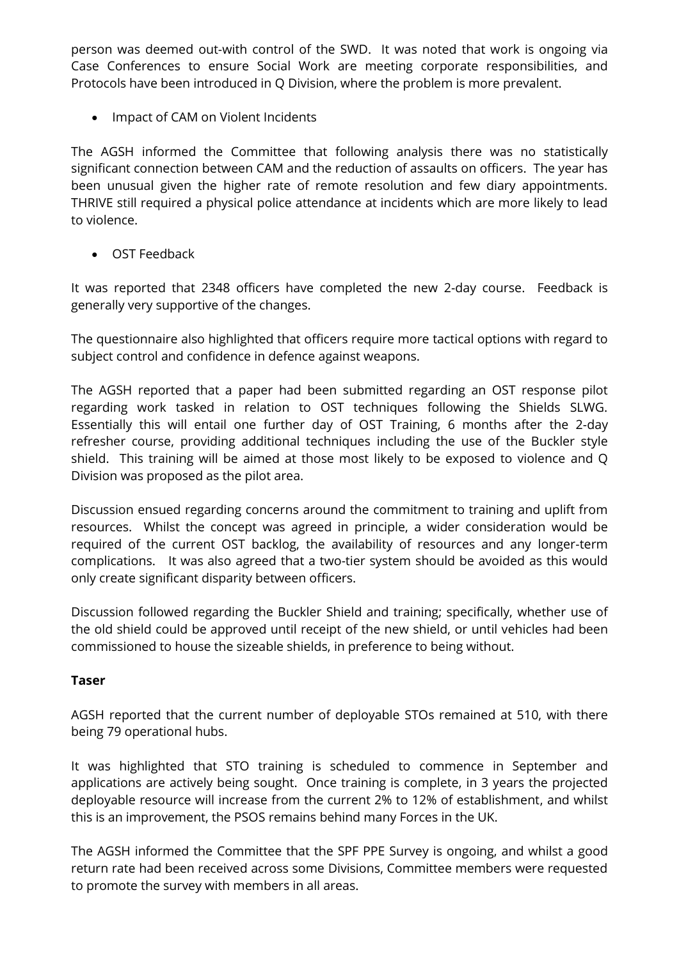person was deemed out-with control of the SWD. It was noted that work is ongoing via Case Conferences to ensure Social Work are meeting corporate responsibilities, and Protocols have been introduced in Q Division, where the problem is more prevalent.

• Impact of CAM on Violent Incidents

The AGSH informed the Committee that following analysis there was no statistically significant connection between CAM and the reduction of assaults on officers. The year has been unusual given the higher rate of remote resolution and few diary appointments. THRIVE still required a physical police attendance at incidents which are more likely to lead to violence.

OST Feedback

It was reported that 2348 officers have completed the new 2-day course. Feedback is generally very supportive of the changes.

The questionnaire also highlighted that officers require more tactical options with regard to subject control and confidence in defence against weapons.

The AGSH reported that a paper had been submitted regarding an OST response pilot regarding work tasked in relation to OST techniques following the Shields SLWG. Essentially this will entail one further day of OST Training, 6 months after the 2-day refresher course, providing additional techniques including the use of the Buckler style shield. This training will be aimed at those most likely to be exposed to violence and Q Division was proposed as the pilot area.

Discussion ensued regarding concerns around the commitment to training and uplift from resources. Whilst the concept was agreed in principle, a wider consideration would be required of the current OST backlog, the availability of resources and any longer-term complications. It was also agreed that a two-tier system should be avoided as this would only create significant disparity between officers.

Discussion followed regarding the Buckler Shield and training; specifically, whether use of the old shield could be approved until receipt of the new shield, or until vehicles had been commissioned to house the sizeable shields, in preference to being without.

## **Taser**

AGSH reported that the current number of deployable STOs remained at 510, with there being 79 operational hubs.

It was highlighted that STO training is scheduled to commence in September and applications are actively being sought. Once training is complete, in 3 years the projected deployable resource will increase from the current 2% to 12% of establishment, and whilst this is an improvement, the PSOS remains behind many Forces in the UK.

The AGSH informed the Committee that the SPF PPE Survey is ongoing, and whilst a good return rate had been received across some Divisions, Committee members were requested to promote the survey with members in all areas.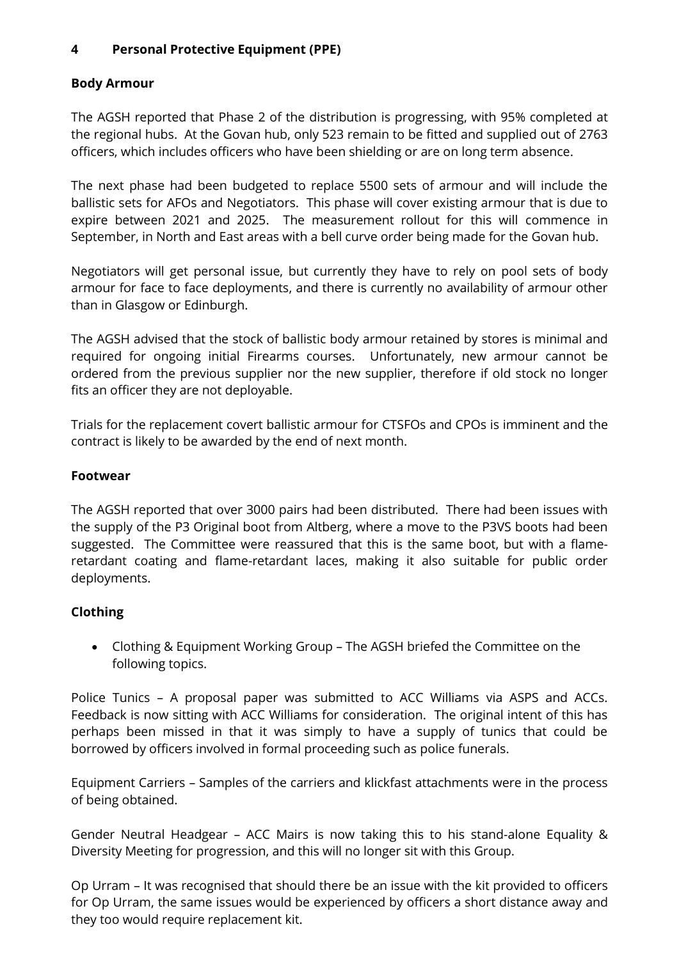# **4 Personal Protective Equipment (PPE)**

# **Body Armour**

The AGSH reported that Phase 2 of the distribution is progressing, with 95% completed at the regional hubs. At the Govan hub, only 523 remain to be fitted and supplied out of 2763 officers, which includes officers who have been shielding or are on long term absence.

The next phase had been budgeted to replace 5500 sets of armour and will include the ballistic sets for AFOs and Negotiators. This phase will cover existing armour that is due to expire between 2021 and 2025. The measurement rollout for this will commence in September, in North and East areas with a bell curve order being made for the Govan hub.

Negotiators will get personal issue, but currently they have to rely on pool sets of body armour for face to face deployments, and there is currently no availability of armour other than in Glasgow or Edinburgh.

The AGSH advised that the stock of ballistic body armour retained by stores is minimal and required for ongoing initial Firearms courses. Unfortunately, new armour cannot be ordered from the previous supplier nor the new supplier, therefore if old stock no longer fits an officer they are not deployable.

Trials for the replacement covert ballistic armour for CTSFOs and CPOs is imminent and the contract is likely to be awarded by the end of next month.

## **Footwear**

The AGSH reported that over 3000 pairs had been distributed. There had been issues with the supply of the P3 Original boot from Altberg, where a move to the P3VS boots had been suggested. The Committee were reassured that this is the same boot, but with a flameretardant coating and flame-retardant laces, making it also suitable for public order deployments.

## **Clothing**

 Clothing & Equipment Working Group – The AGSH briefed the Committee on the following topics.

Police Tunics – A proposal paper was submitted to ACC Williams via ASPS and ACCs. Feedback is now sitting with ACC Williams for consideration. The original intent of this has perhaps been missed in that it was simply to have a supply of tunics that could be borrowed by officers involved in formal proceeding such as police funerals.

Equipment Carriers – Samples of the carriers and klickfast attachments were in the process of being obtained.

Gender Neutral Headgear – ACC Mairs is now taking this to his stand-alone Equality & Diversity Meeting for progression, and this will no longer sit with this Group.

Op Urram – It was recognised that should there be an issue with the kit provided to officers for Op Urram, the same issues would be experienced by officers a short distance away and they too would require replacement kit.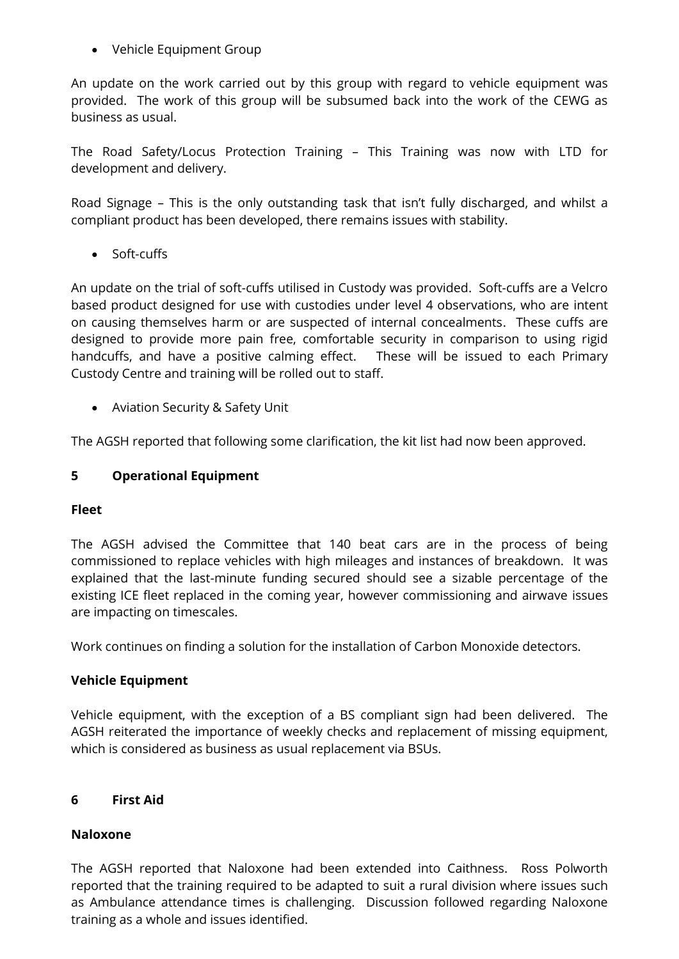Vehicle Equipment Group

An update on the work carried out by this group with regard to vehicle equipment was provided. The work of this group will be subsumed back into the work of the CEWG as business as usual.

The Road Safety/Locus Protection Training – This Training was now with LTD for development and delivery.

Road Signage – This is the only outstanding task that isn't fully discharged, and whilst a compliant product has been developed, there remains issues with stability.

• Soft-cuffs

An update on the trial of soft-cuffs utilised in Custody was provided. Soft-cuffs are a Velcro based product designed for use with custodies under level 4 observations, who are intent on causing themselves harm or are suspected of internal concealments. These cuffs are designed to provide more pain free, comfortable security in comparison to using rigid handcuffs, and have a positive calming effect. These will be issued to each Primary Custody Centre and training will be rolled out to staff.

Aviation Security & Safety Unit

The AGSH reported that following some clarification, the kit list had now been approved.

# **5 Operational Equipment**

## **Fleet**

The AGSH advised the Committee that 140 beat cars are in the process of being commissioned to replace vehicles with high mileages and instances of breakdown. It was explained that the last-minute funding secured should see a sizable percentage of the existing ICE fleet replaced in the coming year, however commissioning and airwave issues are impacting on timescales.

Work continues on finding a solution for the installation of Carbon Monoxide detectors.

## **Vehicle Equipment**

Vehicle equipment, with the exception of a BS compliant sign had been delivered. The AGSH reiterated the importance of weekly checks and replacement of missing equipment, which is considered as business as usual replacement via BSUs.

## **6 First Aid**

## **Naloxone**

The AGSH reported that Naloxone had been extended into Caithness. Ross Polworth reported that the training required to be adapted to suit a rural division where issues such as Ambulance attendance times is challenging. Discussion followed regarding Naloxone training as a whole and issues identified.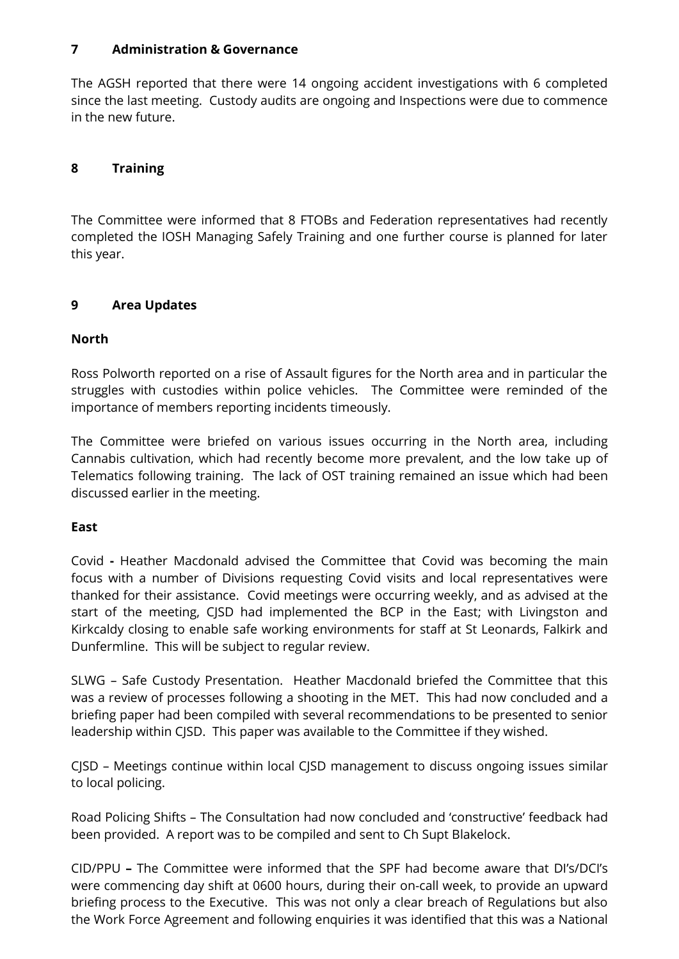#### **7 Administration & Governance**

The AGSH reported that there were 14 ongoing accident investigations with 6 completed since the last meeting. Custody audits are ongoing and Inspections were due to commence in the new future.

## **8 Training**

The Committee were informed that 8 FTOBs and Federation representatives had recently completed the IOSH Managing Safely Training and one further course is planned for later this year.

#### **9 Area Updates**

#### **North**

Ross Polworth reported on a rise of Assault figures for the North area and in particular the struggles with custodies within police vehicles. The Committee were reminded of the importance of members reporting incidents timeously.

The Committee were briefed on various issues occurring in the North area, including Cannabis cultivation, which had recently become more prevalent, and the low take up of Telematics following training. The lack of OST training remained an issue which had been discussed earlier in the meeting.

#### **East**

Covid **-** Heather Macdonald advised the Committee that Covid was becoming the main focus with a number of Divisions requesting Covid visits and local representatives were thanked for their assistance. Covid meetings were occurring weekly, and as advised at the start of the meeting, CJSD had implemented the BCP in the East; with Livingston and Kirkcaldy closing to enable safe working environments for staff at St Leonards, Falkirk and Dunfermline. This will be subject to regular review.

SLWG – Safe Custody Presentation. Heather Macdonald briefed the Committee that this was a review of processes following a shooting in the MET. This had now concluded and a briefing paper had been compiled with several recommendations to be presented to senior leadership within CJSD. This paper was available to the Committee if they wished.

CJSD – Meetings continue within local CJSD management to discuss ongoing issues similar to local policing.

Road Policing Shifts – The Consultation had now concluded and 'constructive' feedback had been provided. A report was to be compiled and sent to Ch Supt Blakelock.

CID/PPU **–** The Committee were informed that the SPF had become aware that DI's/DCI's were commencing day shift at 0600 hours, during their on-call week, to provide an upward briefing process to the Executive. This was not only a clear breach of Regulations but also the Work Force Agreement and following enquiries it was identified that this was a National